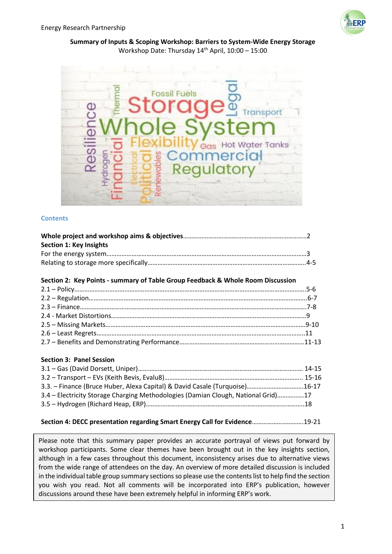

**Summary of Inputs & Scoping Workshop: Barriers to System-Wide Energy Storage** Workshop Date: Thursday 14th April, 10:00 – 15:00



#### **Contents**

| <b>Section 1: Key Insights</b>                                                  |  |
|---------------------------------------------------------------------------------|--|
|                                                                                 |  |
|                                                                                 |  |
| Section 2: Key Points - summary of Table Group Feedback & Whole Room Discussion |  |
|                                                                                 |  |
|                                                                                 |  |
|                                                                                 |  |
|                                                                                 |  |
|                                                                                 |  |
|                                                                                 |  |
|                                                                                 |  |
| <b>Section 3: Panel Session</b>                                                 |  |
|                                                                                 |  |

| 3.3. – Finance (Bruce Huber, Alexa Capital) & David Casale (Turquoise)16-17       |  |
|-----------------------------------------------------------------------------------|--|
| 3.4 – Electricity Storage Charging Methodologies (Damian Clough, National Grid)17 |  |
|                                                                                   |  |
|                                                                                   |  |

#### **Section 4: DECC presentation regarding Smart Energy Call for Evidence**………………………….19-21

Please note that this summary paper provides an accurate portrayal of views put forward by workshop participants. Some clear themes have been brought out in the key insights section, although in a few cases throughout this document, inconsistency arises due to alternative views from the wide range of attendees on the day. An overview of more detailed discussion is included in the individual table group summary sections so please use the contents list to help find the section you wish you read. Not all comments will be incorporated into ERP's publication, however discussions around these have been extremely helpful in informing ERP's work.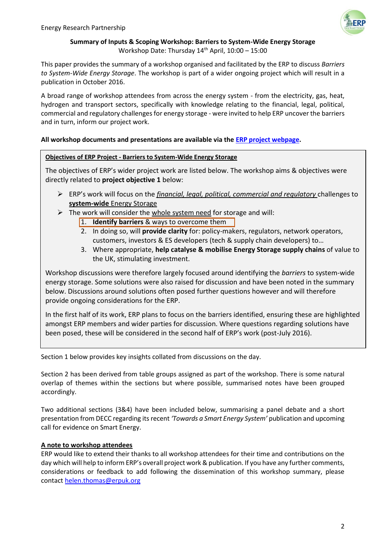

## **Summary of Inputs & Scoping Workshop: Barriers to System-Wide Energy Storage** Workshop Date: Thursday 14<sup>th</sup> April, 10:00 - 15:00

This paper provides the summary of a workshop organised and facilitated by the ERP to discuss *Barriers to System-Wide Energy Storage*. The workshop is part of a wider ongoing project which will result in a publication in October 2016.

A broad range of workshop attendees from across the energy system - from the electricity, gas, heat, hydrogen and transport sectors, specifically with knowledge relating to the financial, legal, political, commercial and regulatory challenges for energy storage - were invited to help ERP uncover the barriers and in turn, inform our project work.

# **All workshop documents and presentations are available via the [ERP project webpage.](http://erpuk.org/project/barriers-system-wide-energy-storage/)**

## **Objectives of ERP Project - Barriers to System-Wide Energy Storage**

The objectives of ERP's wider project work are listed below. The workshop aims & objectives were directly related to **project objective 1** below:

- ERP's work will focus on the *financial, legal, political, commercial and regulatory* challenges to **system-wide** Energy Storage
- $\triangleright$  The work will consider the whole system need for storage and will:
	- 1. **Identify barriers** & ways to overcome them
	- 2. In doing so, will **provide clarity** for: policy-makers, regulators, network operators, customers, investors & ES developers (tech & supply chain developers) to…
	- 3. Where appropriate, **help catalyse & mobilise Energy Storage supply chains** of value to the UK, stimulating investment.

Workshop discussions were therefore largely focused around identifying the *barriers* to system-wide energy storage. Some solutions were also raised for discussion and have been noted in the summary below. Discussions around solutions often posed further questions however and will therefore provide ongoing considerations for the ERP.

In the first half of its work, ERP plans to focus on the barriers identified, ensuring these are highlighted amongst ERP members and wider parties for discussion. Where questions regarding solutions have been posed, these will be considered in the second half of ERP's work (post-July 2016).

Section 1 below provides key insights collated from discussions on the day.

Section 2 has been derived from table groups assigned as part of the workshop. There is some natural overlap of themes within the sections but where possible, summarised notes have been grouped accordingly.

Two additional sections (3&4) have been included below, summarising a panel debate and a short presentation from DECC regarding itsrecent *'Towards a Smart Energy System'* publication and upcoming call for evidence on Smart Energy.

## **A note to workshop attendees**

ERP would like to extend their thanks to all workshop attendees for their time and contributions on the day which will help to inform ERP's overall project work & publication. If you have any further comments, considerations or feedback to add following the dissemination of this workshop summary, please contact [helen.thomas@erpuk.org](mailto:helen.thomas@erpuk.org)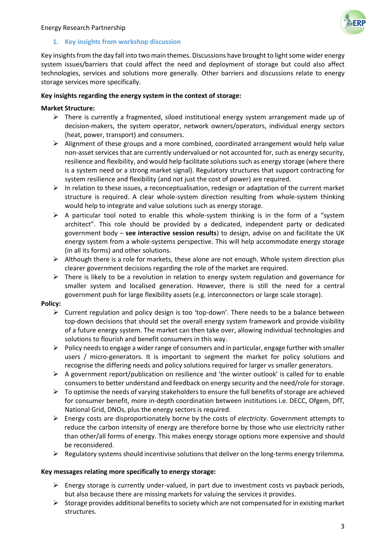#### Energy Research Partnership



#### **1. Key insights from workshop discussion**

Key insights from the day fall into two main themes. Discussions have brought to light some wider energy system issues/barriers that could affect the need and deployment of storage but could also affect technologies, services and solutions more generally. Other barriers and discussions relate to energy storage services more specifically.

#### **Key insights regarding the energy system in the context of storage:**

#### **Market Structure:**

- $\triangleright$  There is currently a fragmented, siloed institutional energy system arrangement made up of decision-makers, the system operator, network owners/operators, individual energy sectors (heat, power, transport) and consumers.
- $\triangleright$  Alignment of these groups and a more combined, coordinated arrangement would help value non-asset services that are currently undervalued or not accounted for, such as energy security, resilience and flexibility, and would help facilitate solutions such as energy storage (where there is a system need or a strong market signal). Regulatory structures that support contracting for system resilience and flexibility (and not just the cost of power) are required.
- $\triangleright$  In relation to these issues, a reconceptualisation, redesign or adaptation of the current market structure is required. A clear whole-system direction resulting from whole-system thinking would help to integrate and value solutions such as energy storage.
- $\triangleright$  A particular tool noted to enable this whole-system thinking is in the form of a "system" architect". This role should be provided by a dedicated, independent party or dedicated government body – **see interactive session results**) to design, advise on and facilitate the UK energy system from a whole-systems perspective. This will help accommodate energy storage (in all its forms) and other solutions.
- $\triangleright$  Although there is a role for markets, these alone are not enough. Whole system direction plus clearer government decisions regarding the role of the market are required.
- $\triangleright$  There is likely to be a revolution in relation to energy system regulation and governance for smaller system and localised generation. However, there is still the need for a central government push for large flexibility assets (e.g. interconnectors or large scale storage).

#### **Policy:**

- $\triangleright$  Current regulation and policy design is too 'top-down'. There needs to be a balance between top-down decisions that should set the overall energy system framework and provide visibility of a future energy system. The market can then take over, allowing individual technologies and solutions to flourish and benefit consumers in this way.
- $\triangleright$  Policy needs to engage a wider range of consumers and in particular, engage further with smaller users / micro-generators. It is important to segment the market for policy solutions and recognise the differing needs and policy solutions required for larger vs smaller generators.
- $\triangleright$  A government report/publication on resilience and 'the winter outlook' is called for to enable consumers to better understand and feedback on energy security and the need/role for storage.
- $\triangleright$  To optimise the needs of varying stakeholders to ensure the full benefits of storage are achieved for consumer benefit, more in-depth coordination between institutions i.e. DECC, Ofgem, DfT, National Grid, DNOs, plus the energy sectors is required.
- Energy costs are disproportionately borne by the costs of *electricity*. Government attempts to reduce the carbon intensity of energy are therefore borne by those who use electricity rather than other/all forms of energy. This makes energy storage options more expensive and should be reconsidered.
- $\triangleright$  Regulatory systems should incentivise solutions that deliver on the long-terms energy trilemma.

#### **Key messages relating more specifically to energy storage:**

- $\triangleright$  Energy storage is currently under-valued, in part due to investment costs vs payback periods, but also because there are missing markets for valuing the services it provides.
- $\triangleright$  Storage provides additional benefits to society which are not compensated for in existing market structures.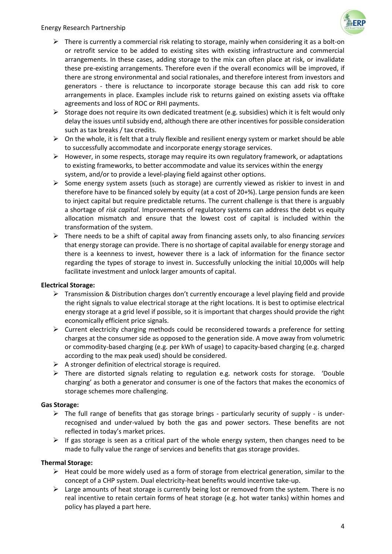#### Energy Research Partnership



- $\triangleright$  There is currently a commercial risk relating to storage, mainly when considering it as a bolt-on or retrofit service to be added to existing sites with existing infrastructure and commercial arrangements. In these cases, adding storage to the mix can often place at risk, or invalidate these pre-existing arrangements. Therefore even if the overall economics will be improved, if there are strong environmental and social rationales, and therefore interest from investors and generators - there is reluctance to incorporate storage because this can add risk to core arrangements in place. Examples include risk to returns gained on existing assets via offtake agreements and loss of ROC or RHI payments.
- Storage does not require its own dedicated treatment (e.g. subsidies) which it is felt would only delay the issues until subsidy end, although there are other incentives for possible consideration such as tax breaks / tax credits.
- $\triangleright$  On the whole, it is felt that a truly flexible and resilient energy system or market should be able to successfully accommodate and incorporate energy storage services.
- $\triangleright$  However, in some respects, storage may require its own regulatory framework, or adaptations to existing frameworks, to better accommodate and value its services within the energy system, and/or to provide a level-playing field against other options.
- $\triangleright$  Some energy system assets (such as storage) are currently viewed as riskier to invest in and therefore have to be financed solely by equity (at a cost of 20+%). Large pension funds are keen to inject capital but require predictable returns. The current challenge is that there is arguably a shortage of *risk capital*. Improvements of regulatory systems can address the debt vs equity allocation mismatch and ensure that the lowest cost of capital is included within the transformation of the system.
- There needs to be a shift of capital away from financing assets only, to also financing *services* that energy storage can provide. There is no shortage of capital available for energy storage and there is a keenness to invest, however there is a lack of information for the finance sector regarding the types of storage to invest in. Successfully unlocking the initial 10,000s will help facilitate investment and unlock larger amounts of capital.

## **Electrical Storage:**

- Fransmission & Distribution charges don't currently encourage a level playing field and provide the right signals to value electrical storage at the right locations. It is best to optimise electrical energy storage at a grid level if possible, so it is important that charges should provide the right economically efficient price signals.
- $\triangleright$  Current electricity charging methods could be reconsidered towards a preference for setting charges at the consumer side as opposed to the generation side. A move away from volumetric or commodity-based charging (e.g. per kWh of usage) to capacity-based charging (e.g. charged according to the max peak used) should be considered.
- $\triangleright$  A stronger definition of electrical storage is required.
- $\triangleright$  There are distorted signals relating to regulation e.g. network costs for storage. 'Double charging' as both a generator and consumer is one of the factors that makes the economics of storage schemes more challenging.

#### **Gas Storage:**

- $\triangleright$  The full range of benefits that gas storage brings particularly security of supply is underrecognised and under-valued by both the gas and power sectors. These benefits are not reflected in today's market prices.
- $\triangleright$  If gas storage is seen as a critical part of the whole energy system, then changes need to be made to fully value the range of services and benefits that gas storage provides.

## **Thermal Storage:**

- $\triangleright$  Heat could be more widely used as a form of storage from electrical generation, similar to the concept of a CHP system. Dual electricity-heat benefits would incentive take-up.
- $\triangleright$  Large amounts of heat storage is currently being lost or removed from the system. There is no real incentive to retain certain forms of heat storage (e.g. hot water tanks) within homes and policy has played a part here.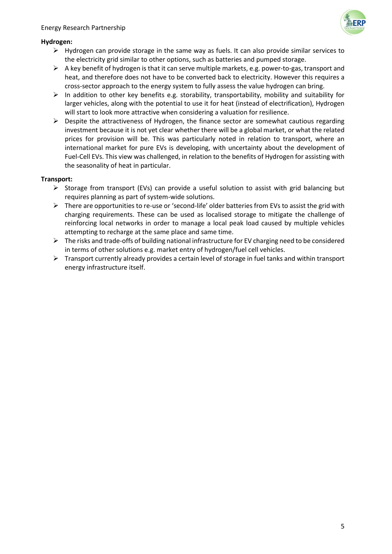

## **Hydrogen:**

- $\triangleright$  Hydrogen can provide storage in the same way as fuels. It can also provide similar services to the electricity grid similar to other options, such as batteries and pumped storage.
- $\triangleright$  A key benefit of hydrogen is that it can serve multiple markets, e.g. power-to-gas, transport and heat, and therefore does not have to be converted back to electricity. However this requires a cross-sector approach to the energy system to fully assess the value hydrogen can bring.
- $\triangleright$  In addition to other key benefits e.g. storability, transportability, mobility and suitability for larger vehicles, along with the potential to use it for heat (instead of electrification), Hydrogen will start to look more attractive when considering a valuation for resilience.
- $\triangleright$  Despite the attractiveness of Hydrogen, the finance sector are somewhat cautious regarding investment because it is not yet clear whether there will be a global market, or what the related prices for provision will be. This was particularly noted in relation to transport, where an international market for pure EVs is developing, with uncertainty about the development of Fuel-Cell EVs. This view was challenged, in relation to the benefits of Hydrogen for assisting with the seasonality of heat in particular.

## **Transport:**

- $\triangleright$  Storage from transport (EVs) can provide a useful solution to assist with grid balancing but requires planning as part of system-wide solutions.
- $\triangleright$  There are opportunities to re-use or 'second-life' older batteries from EVs to assist the grid with charging requirements. These can be used as localised storage to mitigate the challenge of reinforcing local networks in order to manage a local peak load caused by multiple vehicles attempting to recharge at the same place and same time.
- $\triangleright$  The risks and trade-offs of building national infrastructure for EV charging need to be considered in terms of other solutions e.g. market entry of hydrogen/fuel cell vehicles.
- $\triangleright$  Transport currently already provides a certain level of storage in fuel tanks and within transport energy infrastructure itself.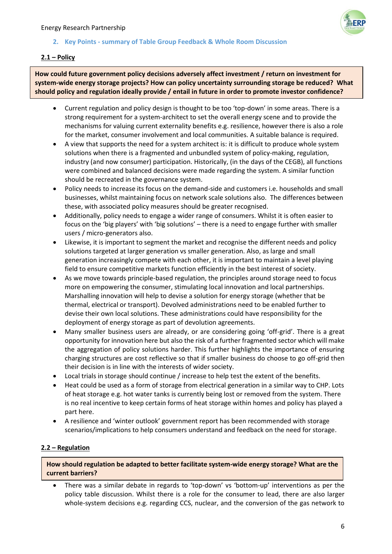

## **2. Key Points - summary of Table Group Feedback & Whole Room Discussion**

## **2.1 – Policy**

**How could future government policy decisions adversely affect investment / return on investment for system-wide energy storage projects? How can policy uncertainty surrounding storage be reduced? What should policy and regulation ideally provide / entail in future in order to promote investor confidence?**

- Current regulation and policy design is thought to be too 'top-down' in some areas. There is a strong requirement for a system-architect to set the overall energy scene and to provide the mechanisms for valuing current externality benefits e.g. resilience, however there is also a role for the market, consumer involvement and local communities. A suitable balance is required.
- A view that supports the need for a system architect is: it is difficult to produce whole system solutions when there is a fragmented and unbundled system of policy-making, regulation, industry (and now consumer) participation. Historically, (in the days of the CEGB), all functions were combined and balanced decisions were made regarding the system. A similar function should be recreated in the governance system.
- Policy needs to increase its focus on the demand-side and customers i.e. households and small businesses, whilst maintaining focus on network scale solutions also. The differences between these, with associated policy measures should be greater recognised.
- Additionally, policy needs to engage a wider range of consumers. Whilst it is often easier to focus on the 'big players' with 'big solutions' – there is a need to engage further with smaller users / micro-generators also.
- Likewise, it is important to segment the market and recognise the different needs and policy solutions targeted at larger generation vs smaller generation. Also, as large and small generation increasingly compete with each other, it is important to maintain a level playing field to ensure competitive markets function efficiently in the best interest of society.
- As we move towards principle-based regulation, the principles around storage need to focus more on empowering the consumer, stimulating local innovation and local partnerships. Marshalling innovation will help to devise a solution for energy storage (whether that be thermal, electrical or transport). Devolved administrations need to be enabled further to devise their own local solutions. These administrations could have responsibility for the deployment of energy storage as part of devolution agreements.
- Many smaller business users are already, or are considering going 'off-grid'. There is a great opportunity for innovation here but also the risk of a further fragmented sector which will make the aggregation of policy solutions harder. This further highlights the importance of ensuring charging structures are cost reflective so that if smaller business do choose to go off-grid then their decision is in line with the interests of wider society.
- Local trials in storage should continue / increase to help test the extent of the benefits.
- Heat could be used as a form of storage from electrical generation in a similar way to CHP. Lots of heat storage e.g. hot water tanks is currently being lost or removed from the system. There is no real incentive to keep certain forms of heat storage within homes and policy has played a part here.
- A resilience and 'winter outlook' government report has been recommended with storage scenarios/implications to help consumers understand and feedback on the need for storage.

## **2.2 – Regulation**

**How should regulation be adapted to better facilitate system-wide energy storage? What are the current barriers?** 

 There was a similar debate in regards to 'top-down' vs 'bottom-up' interventions as per the policy table discussion. Whilst there is a role for the consumer to lead, there are also larger whole-system decisions e.g. regarding CCS, nuclear, and the conversion of the gas network to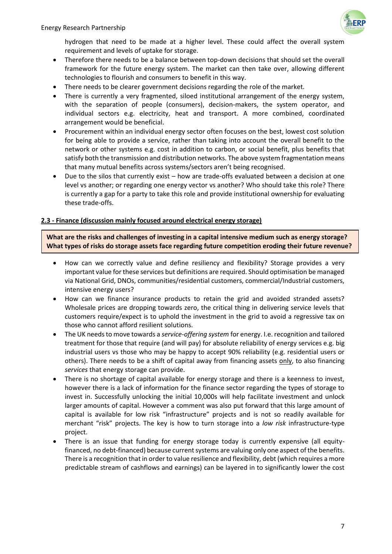

hydrogen that need to be made at a higher level. These could affect the overall system requirement and levels of uptake for storage.

- Therefore there needs to be a balance between top-down decisions that should set the overall framework for the future energy system. The market can then take over, allowing different technologies to flourish and consumers to benefit in this way.
- There needs to be clearer government decisions regarding the role of the market.
- There is currently a very fragmented, siloed institutional arrangement of the energy system, with the separation of people (consumers), decision-makers, the system operator, and individual sectors e.g. electricity, heat and transport. A more combined, coordinated arrangement would be beneficial.
- Procurement within an individual energy sector often focuses on the best, lowest cost solution for being able to provide a service, rather than taking into account the overall benefit to the network or other systems e.g. cost in addition to carbon, or social benefit, plus benefits that satisfy both the transmission and distribution networks. The above system fragmentation means that many mutual benefits across systems/sectors aren't being recognised.
- Due to the silos that currently exist how are trade-offs evaluated between a decision at one level vs another; or regarding one energy vector vs another? Who should take this role? There is currently a gap for a party to take this role and provide institutional ownership for evaluating these trade-offs.

# **2.3 - Finance (discussion mainly focused around electrical energy storage)**

**What are the risks and challenges of investing in a capital intensive medium such as energy storage? What types of risks do storage assets face regarding future competition eroding their future revenue?**

- How can we correctly value and define resiliency and flexibility? Storage provides a very important value for these services but definitions are required. Should optimisation be managed via National Grid, DNOs, communities/residential customers, commercial/Industrial customers, intensive energy users?
- How can we finance insurance products to retain the grid and avoided stranded assets? Wholesale prices are dropping towards zero, the critical thing in delivering service levels that customers require/expect is to uphold the investment in the grid to avoid a regressive tax on those who cannot afford resilient solutions.
- The UK needs to move towards a *service-offering system* for energy. I.e. recognition and tailored treatment for those that require (and will pay) for absolute reliability of energy services e.g. big industrial users vs those who may be happy to accept 90% reliability (e.g. residential users or others). There needs to be a shift of capital away from financing assets only, to also financing *services* that energy storage can provide.
- There is no shortage of capital available for energy storage and there is a keenness to invest, however there is a lack of information for the finance sector regarding the types of storage to invest in. Successfully unlocking the initial 10,000s will help facilitate investment and unlock larger amounts of capital. However a comment was also put forward that this large amount of capital is available for low risk "infrastructure" projects and is not so readily available for merchant "risk" projects. The key is how to turn storage into a *low risk* infrastructure-type project.
- There is an issue that funding for energy storage today is currently expensive (all equityfinanced, no debt-financed) because current systems are valuing only one aspect of the benefits. There is a recognition that in order to value resilience and flexibility, debt (which requires a more predictable stream of cashflows and earnings) can be layered in to significantly lower the cost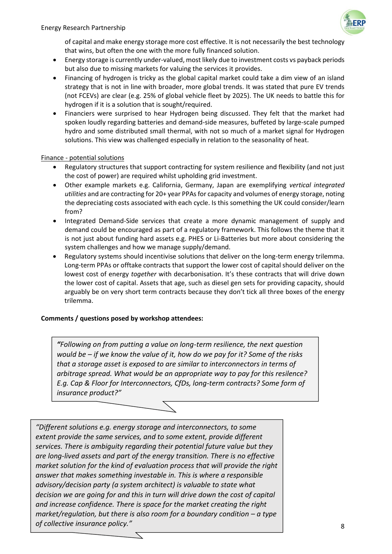

of capital and make energy storage more cost effective. It is not necessarily the best technology that wins, but often the one with the more fully financed solution.

- Energy storage is currently under-valued, most likely due to investment costs vs payback periods but also due to missing markets for valuing the services it provides.
- Financing of hydrogen is tricky as the global capital market could take a dim view of an island strategy that is not in line with broader, more global trends. It was stated that pure EV trends (not FCEVs) are clear (e.g. 25% of global vehicle fleet by 2025). The UK needs to battle this for hydrogen if it is a solution that is sought/required.
- Financiers were surprised to hear Hydrogen being discussed. They felt that the market had spoken loudly regarding batteries and demand-side measures, buffeted by large-scale pumped hydro and some distributed small thermal, with not so much of a market signal for Hydrogen solutions. This view was challenged especially in relation to the seasonality of heat.

#### Finance - potential solutions

- Regulatory structures that support contracting for system resilience and flexibility (and not just the cost of power) are required whilst upholding grid investment.
- Other example markets e.g. California, Germany, Japan are exemplifying *vertical integrated utilities* and are contracting for 20+ year PPAs for capacity and volumes of energy storage, noting the depreciating costs associated with each cycle. Is this something the UK could consider/learn from?
- Integrated Demand-Side services that create a more dynamic management of supply and demand could be encouraged as part of a regulatory framework. This follows the theme that it is not just about funding hard assets e.g. PHES or Li-Batteries but more about considering the system challenges and how we manage supply/demand.
- Regulatory systems should incentivise solutions that deliver on the long-term energy trilemma. Long-term PPAs or offtake contracts that support the lower cost of capital should deliver on the lowest cost of energy *together* with decarbonisation. It's these contracts that will drive down the lower cost of capital. Assets that age, such as diesel gen sets for providing capacity, should arguably be on very short term contracts because they don't tick all three boxes of the energy trilemma.

## **Comments / questions posed by workshop attendees:**

*"Following on from putting a value on long-term resilience, the next question would be – if we know the value of it, how do we pay for it? Some of the risks that a storage asset is exposed to are similar to interconnectors in terms of arbitrage spread. What would be an appropriate way to pay for this resilence? E.g. Cap & Floor for Interconnectors, CfDs, long-term contracts? Some form of insurance product?"*

*"Different solutions e.g. energy storage and interconnectors, to some extent provide the same services, and to some extent, provide different services. There is ambiguity regarding their potential future value but they are long-lived assets and part of the energy transition. There is no effective market solution for the kind of evaluation process that will provide the right answer that makes something investable in. This is where a responsible advisory/decision party (a system architect) is valuable to state what decision we are going for and this in turn will drive down the cost of capital and increase confidence. There is space for the market creating the right market/regulation, but there is also room for a boundary condition – a type of collective insurance policy."*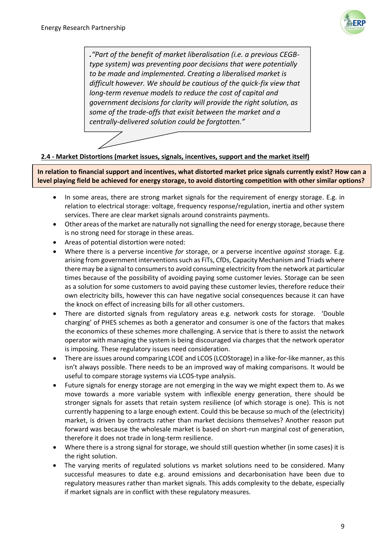

*."Part of the benefit of market liberalisation (i.e. a previous CEGBtype system) was preventing poor decisions that were potentially to be made and implemented. Creating a liberalised market is difficult however. We should be cautious of the quick-fix view that long-term revenue models to reduce the cost of capital and government decisions for clarity will provide the right solution, as some of the trade-offs that exisit between the market and a centrally-delivered solution could be forgtotten."*



## **2.4 - Market Distortions (market issues, signals, incentives, support and the market itself)**

**In relation to financial support and incentives, what distorted market price signals currently exist? How can a level playing field be achieved for energy storage, to avoid distorting competition with other similar options?**

- In some areas, there are strong market signals for the requirement of energy storage. E.g. in relation to electrical storage: voltage, frequency response/regulation, inertia and other system services. There are clear market signals around constraints payments.
- Other areas of the market are naturally not signalling the need for energy storage, because there is no strong need for storage in these areas.
- Areas of potential distortion were noted:
- Where there is a perverse incentive *for* storage, or a perverse incentive *against* storage. E.g. arising from government interventions such as FiTs, CfDs, Capacity Mechanism and Triads where there may be a signal to consumers to avoid consuming electricity from the network at particular times because of the possibility of avoiding paying some customer levies. Storage can be seen as a solution for some customers to avoid paying these customer levies, therefore reduce their own electricity bills, however this can have negative social consequences because it can have the knock on effect of increasing bills for all other customers.
- There are distorted signals from regulatory areas e.g. network costs for storage. 'Double charging' of PHES schemes as both a generator and consumer is one of the factors that makes the economics of these schemes more challenging. A service that is there to assist the network operator with managing the system is being discouraged via charges that the network operator is imposing. These regulatory issues need consideration.
- There are issues around comparing LCOE and LCOS (LCOStorage) in a like-for-like manner, as this isn't always possible. There needs to be an improved way of making comparisons. It would be useful to compare storage systems via LCOS-type analysis.
- Future signals for energy storage are not emerging in the way we might expect them to. As we move towards a more variable system with inflexible energy generation, there should be stronger signals for assets that retain system resilience (of which storage is one). This is not currently happening to a large enough extent. Could this be because so much of the (electricity) market, is driven by contracts rather than market decisions themselves? Another reason put forward was because the wholesale market is based on short-run marginal cost of generation, therefore it does not trade in long-term resilience.
- Where there is a strong signal for storage, we should still question whether (in some cases) it is the right solution.
- The varying merits of regulated solutions vs market solutions need to be considered. Many successful measures to date e.g. around emissions and decarbonisation have been due to regulatory measures rather than market signals. This adds complexity to the debate, especially if market signals are in conflict with these regulatory measures.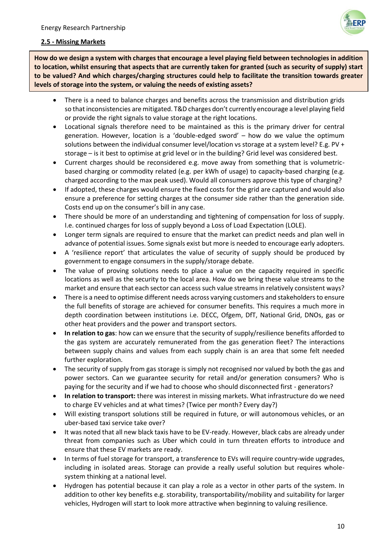

#### **2.5 - Missing Markets**

**How do we design a system with charges that encourage a level playing field between technologies in addition to location, whilst ensuring that aspects that are currently taken for granted (such as security of supply) start to be valued? And which charges/charging structures could help to facilitate the transition towards greater levels of storage into the system, or valuing the needs of existing assets?**

- There is a need to balance charges and benefits across the transmission and distribution grids so that inconsistencies are mitigated. T&D charges don't currently encourage a level playing field or provide the right signals to value storage at the right locations.
- Locational signals therefore need to be maintained as this is the primary driver for central generation. However, location is a 'double-edged sword' – how do we value the optimum solutions between the individual consumer level/location vs storage at a system level? E.g. PV + storage – is it best to optimise at grid level or in the building? Grid level was considered best.
- Current charges should be reconsidered e.g. move away from something that is volumetricbased charging or commodity related (e.g. per kWh of usage) to capacity-based charging (e.g. charged according to the max peak used). Would all consumers approve this type of charging?
- If adopted, these charges would ensure the fixed costs for the grid are captured and would also ensure a preference for setting charges at the consumer side rather than the generation side. Costs end up on the consumer's bill in any case.
- There should be more of an understanding and tightening of compensation for loss of supply. I.e. continued charges for loss of supply beyond a Loss of Load Expectation (LOLE).
- Longer term signals are required to ensure that the market can predict needs and plan well in advance of potential issues. Some signals exist but more is needed to encourage early adopters.
- A 'resilience report' that articulates the value of security of supply should be produced by government to engage consumers in the supply/storage debate.
- The value of proving solutions needs to place a value on the capacity required in specific locations as well as the security to the local area. How do we bring these value streams to the market and ensure that each sector can access such value streams in relatively consistent ways?
- There is a need to optimise different needs across varying customers and stakeholders to ensure the full benefits of storage are achieved for consumer benefits. This requires a much more in depth coordination between institutions i.e. DECC, Ofgem, DfT, National Grid, DNOs, gas or other heat providers and the power and transport sectors.
- **In relation to gas**: how can we ensure that the security of supply/resilience benefits afforded to the gas system are accurately remunerated from the gas generation fleet? The interactions between supply chains and values from each supply chain is an area that some felt needed further exploration.
- The security of supply from gas storage is simply not recognised nor valued by both the gas and power sectors. Can we guarantee security for retail and/or generation consumers? Who is paying for the security and if we had to choose who should disconnected first - generators?
- **In relation to transport:** there was interest in missing markets. What infrastructure do we need to charge EV vehicles and at what times? (Twice per month? Every day?)
- Will existing transport solutions still be required in future, or will autonomous vehicles, or an uber-based taxi service take over?
- It was noted that all new black taxis have to be EV-ready. However, black cabs are already under threat from companies such as Uber which could in turn threaten efforts to introduce and ensure that these EV markets are ready.
- In terms of fuel storage for transport, a transference to EVs will require country-wide upgrades, including in isolated areas. Storage can provide a really useful solution but requires wholesystem thinking at a national level.
- Hydrogen has potential because it can play a role as a vector in other parts of the system. In addition to other key benefits e.g. storability, transportability/mobility and suitability for larger vehicles, Hydrogen will start to look more attractive when beginning to valuing resilience.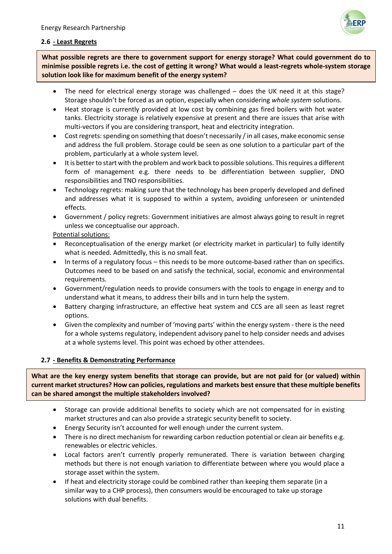

## **2.6 - Least Regrets**

**What possible regrets are there to government support for energy storage? What could government do to minimise possible regrets i.e. the cost of getting it wrong? What would a least-regrets whole-system storage solution look like for maximum benefit of the energy system?**

- The need for electrical energy storage was challenged does the UK need it at this stage? Storage shouldn't be forced as an option, especially when considering *whole system* solutions.
- Heat storage is currently provided at low cost by combining gas fired boilers with hot water tanks. Electricity storage is relatively expensive at present and there are issues that arise with multi-vectors if you are considering transport, heat and electricity integration.
- Cost regrets: spending on something that doesn't necessarily / in all cases, make economic sense and address the full problem. Storage could be seen as one solution to a particular part of the problem, particularly at a whole system level.
- It is better to start with the problem and work back to possible solutions. This requires a different form of management e.g. there needs to be differentiation between supplier, DNO responsibilities and TNO responsibilities.
- Technology regrets: making sure that the technology has been properly developed and defined and addresses what it is supposed to within a system, avoiding unforeseen or unintended effects.
- Government / policy regrets: Government initiatives are almost always going to result in regret unless we conceptualise our approach.

Potential solutions:

- Reconceptualisation of the energy market (or electricity market in particular) to fully identify what is needed. Admittedly, this is no small feat.
- In terms of a regulatory focus this needs to be more outcome-based rather than on specifics. Outcomes need to be based on and satisfy the technical, social, economic and environmental requirements.
- Government/regulation needs to provide consumers with the tools to engage in energy and to understand what it means, to address their bills and in turn help the system.
- Battery charging infrastructure, an effective heat system and CCS are all seen as least regret options.
- Given the complexity and number of 'moving parts' within the energy system there is the need for a whole systems regulatory, independent advisory panel to help consider needs and advises at a whole systems level. This point was echoed by other attendees.

## **2.7 - Benefits & Demonstrating Performance**

**What are the key energy system benefits that storage can provide, but are not paid for (or valued) within current market structures? How can policies, regulations and markets best ensure that these multiple benefits can be shared amongst the multiple stakeholders involved?**

- Storage can provide additional benefits to society which are not compensated for in existing market structures and can also provide a strategic security benefit to society.
- Energy Security isn't accounted for well enough under the current system.
- There is no direct mechanism for rewarding carbon reduction potential or clean air benefits e.g. renewables or electric vehicles.
- Local factors aren't currently properly remunerated. There is variation between charging methods but there is not enough variation to differentiate between where you would place a storage asset within the system.
- If heat and electricity storage could be combined rather than keeping them separate (in a similar way to a CHP process), then consumers would be encouraged to take up storage solutions with dual benefits.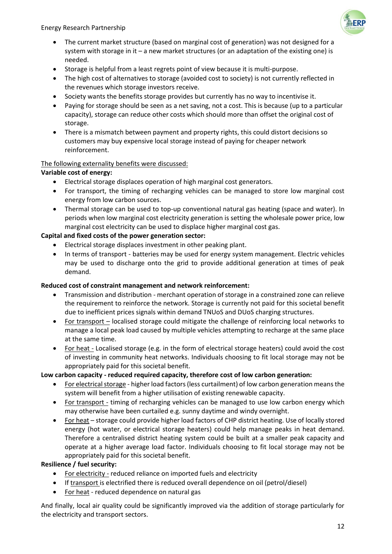Energy Research Partnership



- The current market structure (based on marginal cost of generation) was not designed for a system with storage in it – a new market structures (or an adaptation of the existing one) is needed.
- Storage is helpful from a least regrets point of view because it is multi-purpose.
- The high cost of alternatives to storage (avoided cost to society) is not currently reflected in the revenues which storage investors receive.
- Society wants the benefits storage provides but currently has no way to incentivise it.
- Paying for storage should be seen as a net saving, not a cost. This is because (up to a particular capacity), storage can reduce other costs which should more than offset the original cost of storage.
- There is a mismatch between payment and property rights, this could distort decisions so customers may buy expensive local storage instead of paying for cheaper network reinforcement.

## The following externality benefits were discussed:

# **Variable cost of energy:**

- Electrical storage displaces operation of high marginal cost generators.
- For transport, the timing of recharging vehicles can be managed to store low marginal cost energy from low carbon sources.
- Thermal storage can be used to top-up conventional natural gas heating (space and water). In periods when low marginal cost electricity generation is setting the wholesale power price, low marginal cost electricity can be used to displace higher marginal cost gas.

# **Capital and fixed costs of the power generation sector:**

- Electrical storage displaces investment in other peaking plant.
- In terms of transport batteries may be used for energy system management. Electric vehicles may be used to discharge onto the grid to provide additional generation at times of peak demand.

## **Reduced cost of constraint management and network reinforcement:**

- Transmission and distribution merchant operation of storage in a constrained zone can relieve the requirement to reinforce the network. Storage is currently not paid for this societal benefit due to inefficient prices signals within demand TNUoS and DUoS charging structures.
- For transport localised storage could mitigate the challenge of reinforcing local networks to manage a local peak load caused by multiple vehicles attempting to recharge at the same place at the same time.
- For heat Localised storage (e.g. in the form of electrical storage heaters) could avoid the cost of investing in community heat networks. Individuals choosing to fit local storage may not be appropriately paid for this societal benefit.

## **Low carbon capacity - reduced required capacity, therefore cost of low carbon generation:**

- For electrical storage higher load factors (less curtailment) of low carbon generation means the system will benefit from a higher utilisation of existing renewable capacity.
- For transport timing of recharging vehicles can be managed to use low carbon energy which may otherwise have been curtailed e.g. sunny daytime and windy overnight.
- For heat storage could provide higher load factors of CHP district heating. Use of locally stored energy (hot water, or electrical storage heaters) could help manage peaks in heat demand. Therefore a centralised district heating system could be built at a smaller peak capacity and operate at a higher average load factor. Individuals choosing to fit local storage may not be appropriately paid for this societal benefit.

## **Resilience / fuel security:**

- For electricity reduced reliance on imported fuels and electricity
- If transport is electrified there is reduced overall dependence on oil (petrol/diesel)
- For heat reduced dependence on natural gas

And finally, local air quality could be significantly improved via the addition of storage particularly for the electricity and transport sectors.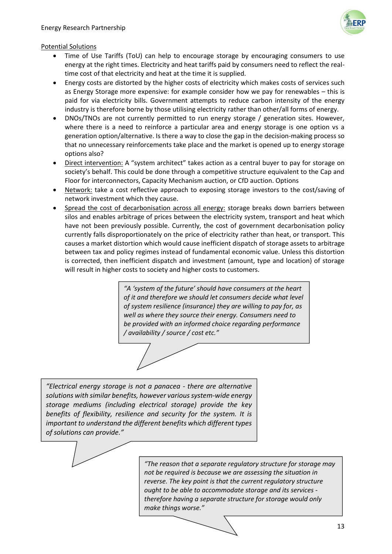

## Potential Solutions

- Time of Use Tariffs (ToU) can help to encourage storage by encouraging consumers to use energy at the right times. Electricity and heat tariffs paid by consumers need to reflect the realtime cost of that electricity and heat at the time it is supplied.
- Energy costs are distorted by the higher costs of electricity which makes costs of services such as Energy Storage more expensive: for example consider how we pay for renewables – this is paid for via electricity bills. Government attempts to reduce carbon intensity of the energy industry is therefore borne by those utilising electricity rather than other/all forms of energy.
- DNOs/TNOs are not currently permitted to run energy storage / generation sites. However, where there is a need to reinforce a particular area and energy storage is one option vs a generation option/alternative. Is there a way to close the gap in the decision-making process so that no unnecessary reinforcements take place and the market is opened up to energy storage options also?
- Direct intervention: A "system architect" takes action as a central buyer to pay for storage on society's behalf. This could be done through a competitive structure equivalent to the Cap and Floor for interconnectors, Capacity Mechanism auction, or CfD auction. Options
- Network: take a cost reflective approach to exposing storage investors to the cost/saving of network investment which they cause.
- Spread the cost of decarbonisation across all energy: storage breaks down barriers between silos and enables arbitrage of prices between the electricity system, transport and heat which have not been previously possible. Currently, the cost of government decarbonisation policy currently falls disproportionately on the price of electricity rather than heat, or transport. This causes a market distortion which would cause inefficient dispatch of storage assets to arbitrage between tax and policy regimes instead of fundamental economic value. Unless this distortion is corrected, then inefficient dispatch and investment (amount, type and location) of storage will result in higher costs to society and higher costs to customers.

*"A 'system of the future' should have consumers at the heart of it and therefore we should let consumers decide what level of system resilience (insurance) they are willing to pay for, as well as where they source their energy. Consumers need to be provided with an informed choice regarding performance / availability / source / cost etc."*

*"Electrical energy storage is not a panacea - there are alternative solutions with similar benefits, however various system-wide energy storage mediums (including electrical storage) provide the key benefits of flexibility, resilience and security for the system. It is important to understand the different benefits which different types of solutions can provide."*

> *"The reason that a separate regulatory structure for storage may not be required is because we are assessing the situation in reverse. The key point is that the current regulatory structure ought to be able to accommodate storage and its services therefore having a separate structure for storage would only make things worse."*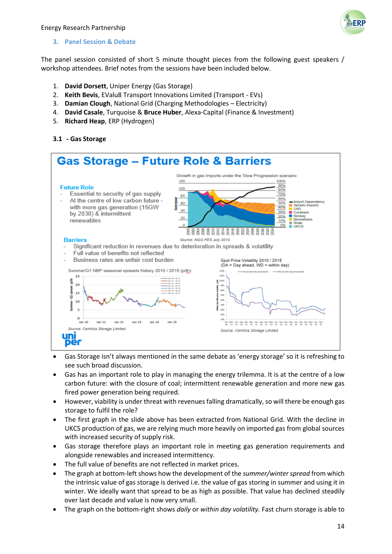

## **3. Panel Session & Debate**

The panel session consisted of short 5 minute thought pieces from the following guest speakers / workshop attendees. Brief notes from the sessions have been included below.

- 1. **David Dorsett**, Uniper Energy (Gas Storage)
- 2. **Keith Bevis**, EValu8 Transport Innovations Limited (Transport EVs)
- 3. **Damian Clough**, National Grid (Charging Methodologies Electricity)
- 4. **David Casale**, Turquoise & **Bruce Huber**, Alexa-Capital (Finance & Investment)
- 5. **Richard Heap**, ERP (Hydrogen)

## **3.1 - Gas Storage**



- Gas Storage isn't always mentioned in the same debate as 'energy storage' so it is refreshing to see such broad discussion.
- Gas has an important role to play in managing the energy trilemma. It is at the centre of a low carbon future: with the closure of coal; intermittent renewable generation and more new gas fired power generation being required.
- However, viability is under threat with revenues falling dramatically, so will there be enough gas storage to fulfil the role?
- The first graph in the slide above has been extracted from National Grid. With the decline in UKCS production of gas, we are relying much more heavily on imported gas from global sources with increased security of supply risk.
- Gas storage therefore plays an important role in meeting gas generation requirements and alongside renewables and increased intermittency.
- The full value of benefits are not reflected in market prices.
- The graph at bottom-left shows how the development of the *summer/winter spread* from which the intrinsic value of gas storage is derived i.e. the value of gas storing in summer and using it in winter. We ideally want that spread to be as high as possible. That value has declined steadily over last decade and value is now very small.
- The graph on the bottom-right shows *daily* or *within day volatility.* Fast churn storage is able to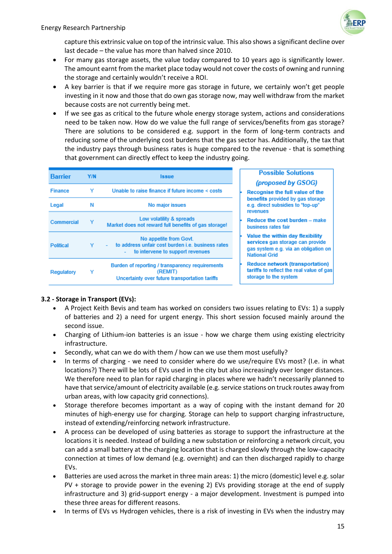

capture this extrinsic value on top of the intrinsic value*.* This also shows a significant decline over last decade – the value has more than halved since 2010.

- For many gas storage assets, the value today compared to 10 years ago is significantly lower. The amount earnt from the market place today would not cover the costs of owning and running the storage and certainly wouldn't receive a ROI.
- A key barrier is that if we require more gas storage in future, we certainly won't get people investing in it now and those that do own gas storage now, may well withdraw from the market because costs are not currently being met.
- If we see gas as critical to the future whole energy storage system, actions and considerations need to be taken now. How do we value the full range of services/benefits from gas storage? There are solutions to be considered e.g. support in the form of long-term contracts and reducing some of the underlying cost burdens that the gas sector has. Additionally, the tax that the industry pays through business rates is huge compared to the revenue - that is something that government can directly effect to keep the industry going.

| <b>Barrier</b>   | Y/N | <b>Issue</b>                                                                                                                                | <b>Possible Solutions</b><br>(proposed by GSOG)                                                                                      |
|------------------|-----|---------------------------------------------------------------------------------------------------------------------------------------------|--------------------------------------------------------------------------------------------------------------------------------------|
| <b>Finance</b>   | v   | Unable to raise finance if future income $\le$ costs                                                                                        | Recognise the full value of the                                                                                                      |
| Legal            | Ν   | No major issues                                                                                                                             | benefits provided by gas storage<br>e.g. direct subsidies to "top-up"<br>revenues                                                    |
| Commercial       |     | Low volatility & spreads<br>Market does not reward full benefits of gas storage!                                                            | Reduce the cost burden - make<br>business rates fair                                                                                 |
| <b>Political</b> |     | No appetite from Govt.<br>to address unfair cost burden i.e. business rates<br>to intervene to support revenues<br>$\overline{\phantom{a}}$ | Value the within day flexibility<br>services gas storage can provide<br>gas system e.g. via an obligation on<br><b>National Grid</b> |
| Regulatory       |     | Burden of reporting / transparency requirements<br>(REMIT)<br>Uncertainty over future transportation tariffs                                | <b>Reduce network (transportation)</b><br>tariffs to reflect the real value of gas<br>storage to the system                          |

## **3.2 - Storage in Transport (EVs):**

- A Project Keith Bevis and team has worked on considers two issues relating to EVs: 1) a supply of batteries and 2) a need for urgent energy. This short session focused mainly around the second issue.
- Charging of Lithium-ion batteries is an issue how we charge them using existing electricity infrastructure.
- Secondly, what can we do with them / how can we use them most usefully?
- In terms of charging we need to consider where do we use/require EVs most? (I.e. in what locations?) There will be lots of EVs used in the city but also increasingly over longer distances. We therefore need to plan for rapid charging in places where we hadn't necessarily planned to have that service/amount of electricity available (e.g. service stations on truck routes away from urban areas, with low capacity grid connections).
- Storage therefore becomes important as a way of coping with the instant demand for 20 minutes of high-energy use for charging. Storage can help to support charging infrastructure, instead of extending/reinforcing network infrastructure.
- A process can be developed of using batteries as storage to support the infrastructure at the locations it is needed. Instead of building a new substation or reinforcing a network circuit, you can add a small battery at the charging location that is charged slowly through the low-capacity connection at times of low demand (e.g. overnight) and can then discharged rapidly to charge EVs.
- Batteries are used across the market in three main areas: 1) the micro (domestic) level e.g. solar PV + storage to provide power in the evening 2) EVs providing storage at the end of supply infrastructure and 3) grid-support energy - a major development. Investment is pumped into these three areas for different reasons.
- In terms of EVs vs Hydrogen vehicles, there is a risk of investing in EVs when the industry may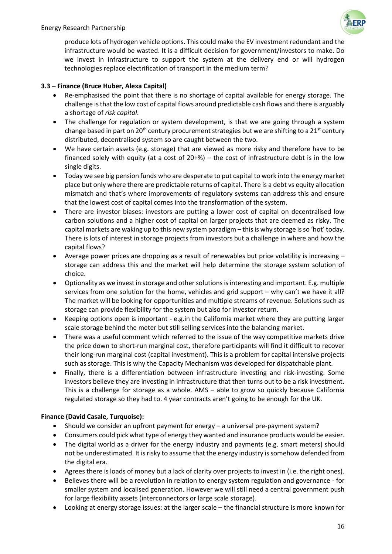produce lots of hydrogen vehicle options. This could make the EV investment redundant and the infrastructure would be wasted. It is a difficult decision for government/investors to make. Do we invest in infrastructure to support the system at the delivery end or will hydrogen technologies replace electrification of transport in the medium term?

# **3.3 – Finance (Bruce Huber, Alexa Capital)**

- Re-emphasised the point that there is no shortage of capital available for energy storage. The challenge is that the low cost of capital flows around predictable cash flows and there is arguably a shortage of *risk capital*.
- The challenge for regulation or system development, is that we are going through a system change based in part on 20<sup>th</sup> century procurement strategies but we are shifting to a  $21^{st}$  century distributed, decentralised system so are caught between the two.
- We have certain assets (e.g. storage) that are viewed as more risky and therefore have to be financed solely with equity (at a cost of  $20+%$ ) – the cost of infrastructure debt is in the low single digits.
- Today we see big pension funds who are desperate to put capital to work into the energy market place but only where there are predictable returns of capital. There is a debt vs equity allocation mismatch and that's where improvements of regulatory systems can address this and ensure that the lowest cost of capital comes into the transformation of the system.
- There are investor biases: investors are putting a lower cost of capital on decentralised low carbon solutions and a higher cost of capital on larger projects that are deemed as risky. The capital markets are waking up to this new system paradigm – this is why storage is so 'hot' today. There is lots of interest in storage projects from investors but a challenge in where and how the capital flows?
- Average power prices are dropping as a result of renewables but price volatility is increasing storage can address this and the market will help determine the storage system solution of choice.
- Optionality as we invest in storage and other solutions is interesting and important. E.g. multiple services from one solution for the home, vehicles and grid support – why can't we have it all? The market will be looking for opportunities and multiple streams of revenue. Solutions such as storage can provide flexibility for the system but also for investor return.
- Keeping options open is important e.g.in the California market where they are putting larger scale storage behind the meter but still selling services into the balancing market.
- There was a useful comment which referred to the issue of the way competitive markets drive the price down to short-run marginal cost, therefore participants will find it difficult to recover their long-run marginal cost (capital investment). This is a problem for capital intensive projects such as storage. This is why the Capacity Mechanism was developed for dispatchable plant.
- Finally, there is a differentiation between infrastructure investing and risk-investing. Some investors believe they are investing in infrastructure that then turns out to be a risk investment. This is a challenge for storage as a whole. AMS – able to grow so quickly because California regulated storage so they had to. 4 year contracts aren't going to be enough for the UK.

## **Finance (David Casale, Turquoise):**

- Should we consider an upfront payment for energy a universal pre-payment system?
- Consumers could pick what type of energy they wanted and insurance products would be easier.
- The digital world as a driver for the energy industry and payments (e.g. smart meters) should not be underestimated. It is risky to assume that the energy industry is somehow defended from the digital era.
- Agrees there is loads of money but a lack of clarity over projects to invest in (i.e. the right ones).
- Believes there will be a revolution in relation to energy system regulation and governance for smaller system and localised generation. However we will still need a central government push for large flexibility assets (interconnectors or large scale storage).
- Looking at energy storage issues: at the larger scale the financial structure is more known for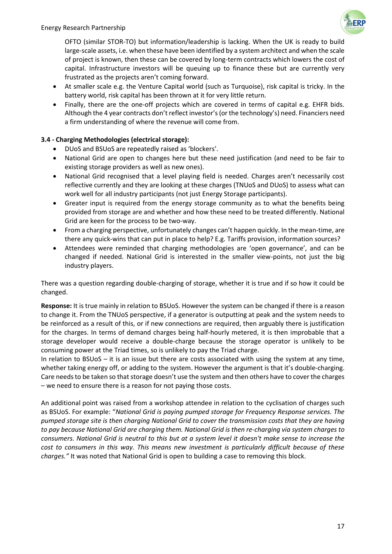OFTO (similar STOR-TO) but information/leadership is lacking. When the UK is ready to build large-scale assets, i.e. when these have been identified by a system architect and when the scale of project is known, then these can be covered by long-term contracts which lowers the cost of capital. Infrastructure investors will be queuing up to finance these but are currently very frustrated as the projects aren't coming forward.

- At smaller scale e.g. the Venture Capital world (such as Turquoise), risk capital is tricky. In the battery world, risk capital has been thrown at it for very little return.
- Finally, there are the one-off projects which are covered in terms of capital e.g. EHFR bids. Although the 4 year contracts don't reflect investor's (or the technology's) need. Financiers need a firm understanding of where the revenue will come from.

# **3.4 - Charging Methodologies (electrical storage):**

- DUoS and BSUoS are repeatedly raised as 'blockers'.
- National Grid are open to changes here but these need justification (and need to be fair to existing storage providers as well as new ones).
- National Grid recognised that a level playing field is needed. Charges aren't necessarily cost reflective currently and they are looking at these charges (TNUoS and DUoS) to assess what can work well for all industry participants (not just Energy Storage participants).
- Greater input is required from the energy storage community as to what the benefits being provided from storage are and whether and how these need to be treated differently. National Grid are keen for the process to be two-way.
- From a charging perspective, unfortunately changes can't happen quickly. In the mean-time, are there any quick-wins that can put in place to help? E.g. Tariffs provision, information sources?
- Attendees were reminded that charging methodologies are 'open governance', and can be changed if needed. National Grid is interested in the smaller view-points, not just the big industry players.

There was a question regarding double-charging of storage, whether it is true and if so how it could be changed.

**Response:** It is true mainly in relation to BSUoS. However the system can be changed if there is a reason to change it. From the TNUoS perspective, if a generator is outputting at peak and the system needs to be reinforced as a result of this, or if new connections are required, then arguably there is justification for the charges. In terms of demand charges being half-hourly metered, it is then improbable that a storage developer would receive a double-charge because the storage operator is unlikely to be consuming power at the Triad times, so is unlikely to pay the Triad charge.

In relation to BSUoS – it is an issue but there are costs associated with using the system at any time, whether taking energy off, or adding to the system. However the argument is that it's double-charging. Care needs to be taken so that storage doesn't use the system and then others have to cover the charges – we need to ensure there is a reason for not paying those costs.

An additional point was raised from a workshop attendee in relation to the cyclisation of charges such as BSUoS. For example: "*National Grid is paying pumped storage for Frequency Response services. The pumped storage site is then charging National Grid to cover the transmission costs that they are having to pay because National Grid are charging them. National Grid is then re-charging via system charges to consumers. National Grid is neutral to this but at a system level it doesn't make sense to increase the cost to consumers in this way. This means new investment is particularly difficult because of these charges."* It was noted that National Grid is open to building a case to removing this block.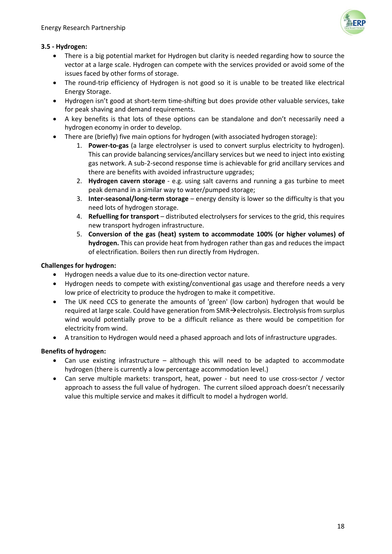

# **3.5 - Hydrogen:**

- There is a big potential market for Hydrogen but clarity is needed regarding how to source the vector at a large scale. Hydrogen can compete with the services provided or avoid some of the issues faced by other forms of storage.
- The round-trip efficiency of Hydrogen is not good so it is unable to be treated like electrical Energy Storage.
- Hydrogen isn't good at short-term time-shifting but does provide other valuable services, take for peak shaving and demand requirements.
- A key benefits is that lots of these options can be standalone and don't necessarily need a hydrogen economy in order to develop.
- There are (briefly) five main options for hydrogen (with associated hydrogen storage):
	- 1. **Power-to-gas** (a large electrolyser is used to convert surplus electricity to hydrogen). This can provide balancing services/ancillary services but we need to inject into existing gas network. A sub-2-second response time is achievable for grid ancillary services and there are benefits with avoided infrastructure upgrades;
	- 2. **Hydrogen cavern storage** e.g. using salt caverns and running a gas turbine to meet peak demand in a similar way to water/pumped storage;
	- 3. **Inter-seasonal/long-term storage** energy density is lower so the difficulty is that you need lots of hydrogen storage.
	- 4. **Refuelling for transport** distributed electrolysers for services to the grid, this requires new transport hydrogen infrastructure.
	- 5. **Conversion of the gas (heat) system to accommodate 100% (or higher volumes) of hydrogen.** This can provide heat from hydrogen rather than gas and reduces the impact of electrification. Boilers then run directly from Hydrogen.

## **Challenges for hydrogen:**

- Hydrogen needs a value due to its one-direction vector nature.
- Hydrogen needs to compete with existing/conventional gas usage and therefore needs a very low price of electricity to produce the hydrogen to make it competitive.
- The UK need CCS to generate the amounts of 'green' (low carbon) hydrogen that would be required at large scale. Could have generation from  $SMR\rightarrow$  electrolysis. Electrolysis from surplus wind would potentially prove to be a difficult reliance as there would be competition for electricity from wind.
- A transition to Hydrogen would need a phased approach and lots of infrastructure upgrades.

## **Benefits of hydrogen:**

- Can use existing infrastructure although this will need to be adapted to accommodate hydrogen (there is currently a low percentage accommodation level.)
- Can serve multiple markets: transport, heat, power but need to use cross-sector / vector approach to assess the full value of hydrogen. The current siloed approach doesn't necessarily value this multiple service and makes it difficult to model a hydrogen world.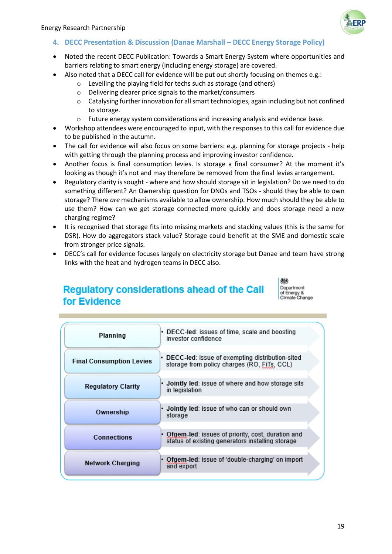

## **4. DECC Presentation & Discussion (Danae Marshall – DECC Energy Storage Policy)**

- Noted the recent DECC Publication: Towards a Smart Energy System where opportunities and barriers relating to smart energy (including energy storage) are covered.
- Also noted that a DECC call for evidence will be put out shortly focusing on themes e.g.:
	- o Levelling the playing field for techs such as storage (and others)
	- o Delivering clearer price signals to the market/consumers
	- $\circ$  Catalysing further innovation for all smart technologies, again including but not confined to storage.
	- $\circ$  Future energy system considerations and increasing analysis and evidence base.
- Workshop attendees were encouraged to input, with the responses to this call for evidence due to be published in the autumn.
- The call for evidence will also focus on some barriers: e.g. planning for storage projects help with getting through the planning process and improving investor confidence.
- Another focus is final consumption levies. Is storage a final consumer? At the moment it's looking as though it's not and may therefore be removed from the final levies arrangement.
- Regulatory clarity is sought where and how should storage sit in legislation? Do we need to do something different? An Ownership question for DNOs and TSOs - should they be able to own storage? There *are* mechanisms available to allow ownership. How much should they be able to use them? How can we get storage connected more quickly and does storage need a new charging regime?
- It is recognised that storage fits into missing markets and stacking values (this is the same for DSR). How do aggregators stack value? Storage could benefit at the SME and domestic scale from stronger price signals.
- DECC's call for evidence focuses largely on electricity storage but Danae and team have strong links with the heat and hydrogen teams in DECC also.

# **Regulatory considerations ahead of the Call** for Evidence



| Planning                        | • DECC-led: issues of time, scale and boosting<br>investor confidence                                 |
|---------------------------------|-------------------------------------------------------------------------------------------------------|
| <b>Final Consumption Levies</b> | • DECC-led: issue of exempting distribution-sited<br>storage from policy charges (RO, FiTs, CCL)      |
| <b>Regulatory Clarity</b>       | • Jointly led: issue of where and how storage sits<br>in legislation                                  |
| Ownership                       | • Jointly led: issue of who can or should own<br>storage                                              |
| Connections                     | Ofgem-led: issues of priority, cost, duration and<br>status of existing generators installing storage |
| <b>Network Charging</b>         | Ofgem-led: issue of 'double-charging' on import<br>٠<br>and export                                    |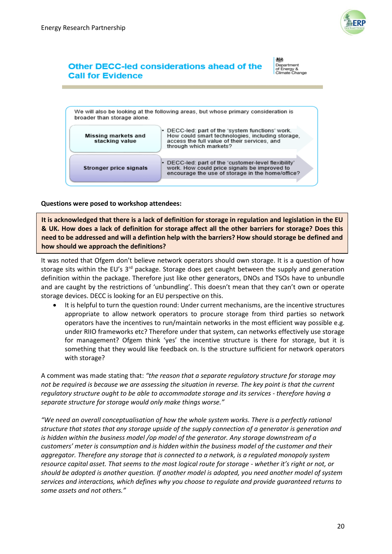

# Other DECC-led considerations ahead of the **Call for Evidence**

抛试 Department<br>of Energy &<br>Climate Change



#### **Questions were posed to workshop attendees:**

**It is acknowledged that there is a lack of definition for storage in regulation and legislation in the EU & UK. How does a lack of definition for storage affect all the other barriers for storage? Does this need to be addressed and will a defintion help with the barriers? How should storage be defined and how should we approach the definitions?**

It was noted that Ofgem don't believe network operators should own storage. It is a question of how storage sits within the EU's  $3<sup>rd</sup>$  package. Storage does get caught between the supply and generation definition within the package. Therefore just like other generators, DNOs and TSOs have to unbundle and are caught by the restrictions of 'unbundling'. This doesn't mean that they can't own or operate storage devices. DECC is looking for an EU perspective on this.

 It is helpful to turn the question round: Under current mechanisms, are the incentive structures appropriate to allow network operators to procure storage from third parties so network operators have the incentives to run/maintain networks in the most efficient way possible e.g. under RIIO frameworks etc? Therefore under that system, can networks effectively use storage for management? Ofgem think 'yes' the incentive structure is there for storage, but it is something that they would like feedback on. Is the structure sufficient for network operators with storage?

A comment was made stating that: *"the reason that a separate regulatory structure for storage may not be required is because we are assessing the situation in reverse. The key point is that the current regulatory structure ought to be able to accommodate storage and its services - therefore having a separate structure for storage would only make things worse."*

*"We need an overall conceptualisation of how the whole system works. There is a perfectly rational structure that states that any storage upside of the supply connection of a generator is generation and is hidden within the business model /op model of the generator. Any storage downstream of a customers' meter is consumption and is hidden within the business model of the customer and their aggregator. Therefore any storage that is connected to a network, is a regulated monopoly system resource capital asset. That seems to the most logical route for storage - whether it's right or not, or should be adopted is another question. If another model is adopted, you need another model of system services and interactions, which defines why you choose to regulate and provide guaranteed returns to some assets and not others."*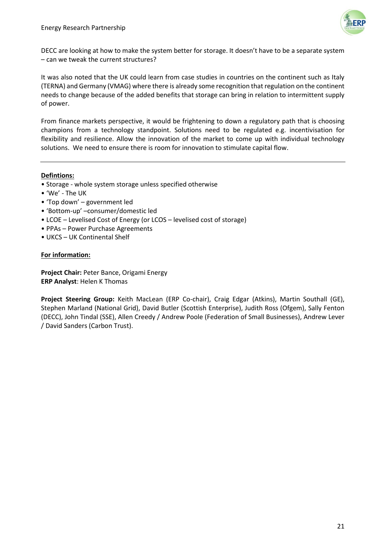

DECC are looking at how to make the system better for storage. It doesn't have to be a separate system – can we tweak the current structures?

It was also noted that the UK could learn from case studies in countries on the continent such as Italy (TERNA) and Germany (VMAG) where there is already some recognition that regulation on the continent needs to change because of the added benefits that storage can bring in relation to intermittent supply of power.

From finance markets perspective, it would be frightening to down a regulatory path that is choosing champions from a technology standpoint. Solutions need to be regulated e.g. incentivisation for flexibility and resilience. Allow the innovation of the market to come up with individual technology solutions. We need to ensure there is room for innovation to stimulate capital flow.

#### **Defintions:**

- Storage whole system storage unless specified otherwise
- 'We' The UK
- 'Top down' government led
- 'Bottom-up' –consumer/domestic led
- LCOE Levelised Cost of Energy (or LCOS levelised cost of storage)
- PPAs Power Purchase Agreements
- UKCS UK Continental Shelf

#### **For information:**

**Project Chair:** Peter Bance, Origami Energy **ERP Analyst**: Helen K Thomas

**Project Steering Group:** Keith MacLean (ERP Co-chair), Craig Edgar (Atkins), Martin Southall (GE), Stephen Marland (National Grid), David Butler (Scottish Enterprise), Judith Ross (Ofgem), Sally Fenton (DECC), John Tindal (SSE), Allen Creedy / Andrew Poole (Federation of Small Businesses), Andrew Lever / David Sanders (Carbon Trust).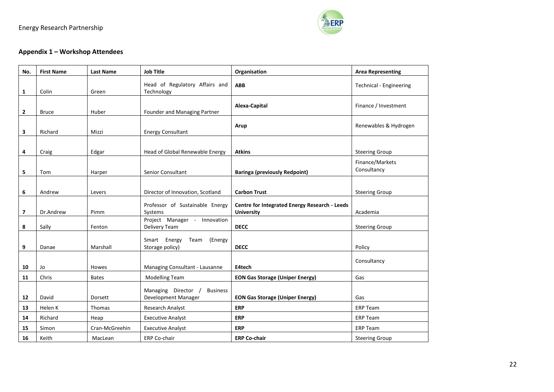

# **Appendix 1 – Workshop Attendees**

| No.            | <b>First Name</b> | <b>Last Name</b> | <b>Job Title</b>                                              | Organisation                                                       | <b>Area Representing</b>       |
|----------------|-------------------|------------------|---------------------------------------------------------------|--------------------------------------------------------------------|--------------------------------|
| 1              | Colin             | Green            | Head of Regulatory Affairs and<br>Technology                  | <b>ABB</b>                                                         | <b>Technical - Engineering</b> |
| $\overline{2}$ | <b>Bruce</b>      | Huber            | Founder and Managing Partner                                  | Alexa-Capital                                                      | Finance / Investment           |
| 3              | Richard           | Mizzi            | <b>Energy Consultant</b>                                      | Arup                                                               | Renewables & Hydrogen          |
| 4              | Craig             | Edgar            | Head of Global Renewable Energy                               | <b>Atkins</b>                                                      | <b>Steering Group</b>          |
| 5              | Tom               | Harper           | Senior Consultant                                             | <b>Baringa (previously Redpoint)</b>                               | Finance/Markets<br>Consultancy |
| 6              | Andrew            | Levers           | Director of Innovation, Scotland                              | <b>Carbon Trust</b>                                                | <b>Steering Group</b>          |
| $\overline{7}$ | Dr.Andrew         | Pimm             | Professor of Sustainable Energy<br>Systems                    | Centre for Integrated Energy Research - Leeds<br><b>University</b> | Academia                       |
| 8              | Sally             | Fenton           | Project Manager - Innovation<br>Delivery Team                 | <b>DECC</b>                                                        | <b>Steering Group</b>          |
| 9              | Danae             | Marshall         | Smart Energy<br>Team<br>(Energy<br>Storage policy)            | <b>DECC</b>                                                        | Policy                         |
| 10             | Jo                | <b>Howes</b>     | Managing Consultant - Lausanne                                | E4tech                                                             | Consultancy                    |
| 11             | Chris             | <b>Bates</b>     | <b>Modelling Team</b>                                         | <b>EON Gas Storage (Uniper Energy)</b>                             | Gas                            |
| 12             | David             | Dorsett          | Managing Director /<br><b>Business</b><br>Development Manager | <b>EON Gas Storage (Uniper Energy)</b>                             | Gas                            |
| 13             | Helen K           | <b>Thomas</b>    | Research Analyst                                              | <b>ERP</b>                                                         | <b>ERP Team</b>                |
| 14             | Richard           | Heap             | <b>Executive Analyst</b>                                      | <b>ERP</b>                                                         | <b>ERP Team</b>                |
| 15             | Simon             | Cran-McGreehin   | <b>Executive Analyst</b>                                      | <b>ERP</b>                                                         | <b>ERP Team</b>                |
| 16             | Keith             | MacLean          | ERP Co-chair                                                  | <b>ERP Co-chair</b>                                                | <b>Steering Group</b>          |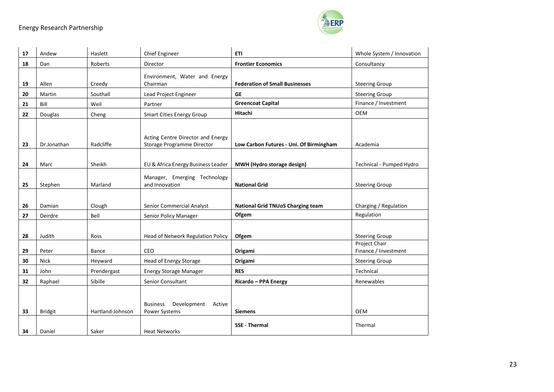

| 17 | Andew          | Haslett          | <b>Chief Engineer</b>                                           | <b>ETI</b>                               | Whole System / Innovation              |
|----|----------------|------------------|-----------------------------------------------------------------|------------------------------------------|----------------------------------------|
| 18 | Dan            | Roberts          | Director                                                        | <b>Frontier Economics</b>                | Consultancy                            |
| 19 | Allen          | Creedy           | Environment, Water and Energy<br>Chairman                       | <b>Federation of Small Businesses</b>    | <b>Steering Group</b>                  |
| 20 | Martin         | Southall         | Lead Project Engineer                                           | <b>GE</b>                                | <b>Steering Group</b>                  |
| 21 | Bill           | Weil             | Partner                                                         | <b>Greencoat Capital</b>                 | Finance / Investment                   |
| 22 | Douglas        | Cheng            | <b>Smart Cities Energy Group</b>                                | Hitachi                                  | <b>OEM</b>                             |
| 23 | Dr.Jonathan    | Radcliffe        | Acting Centre Director and Energy<br>Storage Programme Director | Low Carbon Futures - Uni. Of Birmingham  | Academia                               |
| 24 | Marc           | Sheikh           | EU & Africa Energy Business Leader                              | <b>MWH (Hydro storage design)</b>        | Technical - Pumped Hydro               |
| 25 | Stephen        | Marland          | Manager, Emerging Technology<br>and Innovation                  | <b>National Grid</b>                     | <b>Steering Group</b>                  |
| 26 | Damian         | Clough           | Senior Commercial Analyst                                       | <b>National Grid TNUoS Charging team</b> | Charging / Regulation                  |
| 27 | Deirdre        | Bell             | Senior Policy Manager                                           | Ofgem                                    | Regulation                             |
| 28 | Judith         | Ross             | Head of Network Regulation Policy                               | Ofgem                                    | <b>Steering Group</b><br>Project Chair |
| 29 | Peter          | Bance            | CEO                                                             | Origami                                  | Finance / Investment                   |
| 30 | <b>Nick</b>    | Heyward          | Head of Energy Storage                                          | Origami                                  | <b>Steering Group</b>                  |
| 31 | John           | Prendergast      | <b>Energy Storage Manager</b>                                   | <b>RES</b>                               | Technical                              |
| 32 | Raphael        | Sibille          | Senior Consultant                                               | Ricardo - PPA Energy                     | Renewables                             |
| 33 | <b>Bridgit</b> | Hartland-Johnson | Development<br><b>Business</b><br>Active<br>Power Systems       | <b>Siemens</b>                           | <b>OEM</b>                             |
| 34 | Daniel         | Saker            | <b>Heat Networks</b>                                            | <b>SSE - Thermal</b>                     | Thermal                                |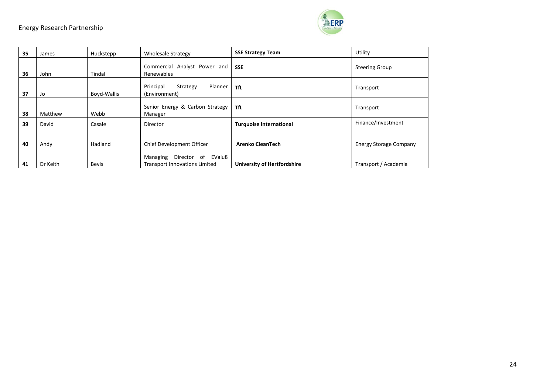| 35 | James    | Huckstepp    | <b>Wholesale Strategy</b>                                              | <b>SSE Strategy Team</b>           | Utility                       |
|----|----------|--------------|------------------------------------------------------------------------|------------------------------------|-------------------------------|
| 36 | John     | Tindal       | Commercial Analyst Power and<br>Renewables                             | <b>SSE</b>                         | <b>Steering Group</b>         |
| 37 | Jo       | Boyd-Wallis  | Principal<br>Planner<br>Strategy<br>(Environment)                      | TfL                                | Transport                     |
| 38 | Matthew  | Webb         | Senior Energy & Carbon Strategy<br>Manager                             | <b>TfL</b>                         | Transport                     |
| 39 | David    | Casale       | Director                                                               | <b>Turquoise International</b>     | Finance/Investment            |
|    |          |              |                                                                        |                                    |                               |
| 40 | Andy     | Hadland      | Chief Development Officer                                              | <b>Arenko CleanTech</b>            | <b>Energy Storage Company</b> |
| 41 | Dr Keith | <b>Bevis</b> | Director of EValu8<br>Managing<br><b>Transport Innovations Limited</b> | <b>University of Hertfordshire</b> | Transport / Academia          |